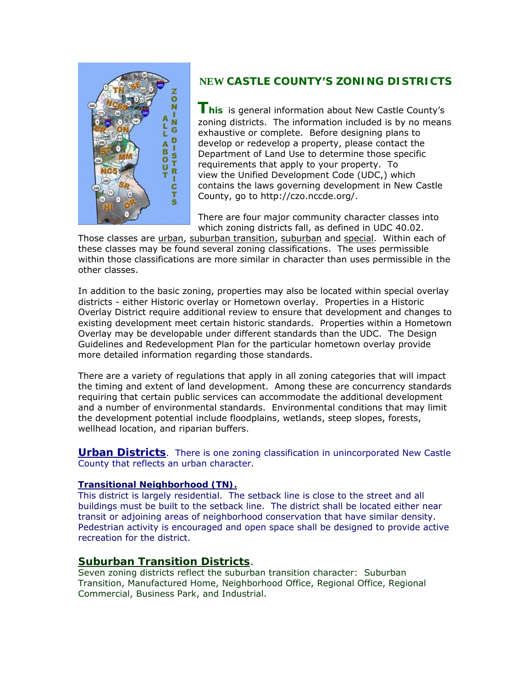

# **NEW CASTLE COUNTY'S ZONING DISTRICTS**

**This** is general information about New Castle County's zoning districts. The information included is by no means exhaustive or complete. Before designing plans to develop or redevelop a property, please contact the Department of Land Use to determine those specific requirements that apply to your property. To view the Unified Development Code (UDC,) which contains the laws governing development in New Castle County, go to http://czo.nccde.org/.

There are four major community character classes into which zoning districts fall, as defined in UDC 40.02.

Those classes are urban, suburban transition, suburban and special. Within each of these classes may be found several zoning classifications. The uses permissible within those classifications are more similar in character than uses permissible in the other classes.

In addition to the basic zoning, properties may also be located within special overlay districts - either Historic overlay or Hometown overlay. Properties in a Historic Overlay District require additional review to ensure that development and changes to existing development meet certain historic standards. Properties within a Hometown Overlay may be developable under different standards than the UDC. The Design Guidelines and Redevelopment Plan for the particular hometown overlay provide more detailed information regarding those standards.

There are a variety of regulations that apply in all zoning categories that will impact the timing and extent of land development. Among these are concurrency standards requiring that certain public services can accommodate the additional development and a number of environmental standards. Environmental conditions that may limit the development potential include floodplains, wetlands, steep slopes, forests, wellhead location, and riparian buffers.

**Urban Districts**. There is one zoning classification in unincorporated New Castle County that reflects an urban character.

## **Transitional Neighborhood (TN).**

This district is largely residential. The setback line is close to the street and all buildings must be built to the setback line. The district shall be located either near transit or adjoining areas of neighborhood conservation that have similar density. Pedestrian activity is encouraged and open space shall be designed to provide active recreation for the district.

# **Suburban Transition Districts**.

Seven zoning districts reflect the suburban transition character: Suburban Transition, Manufactured Home, Neighborhood Office, Regional Office, Regional Commercial, Business Park, and Industrial.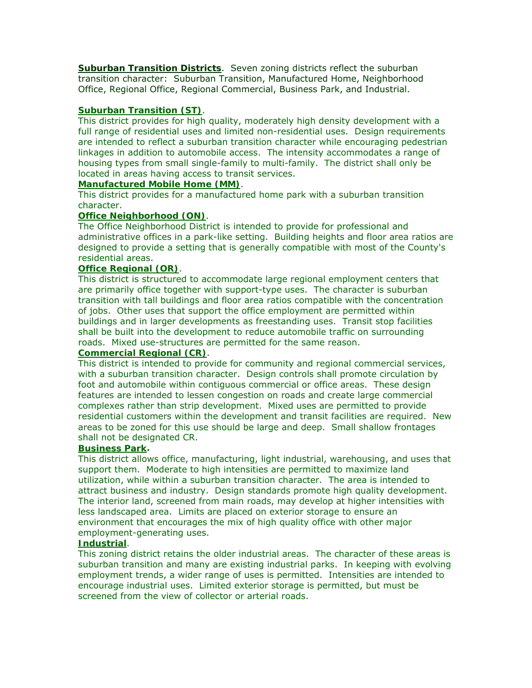**Suburban Transition Districts**. Seven zoning districts reflect the suburban transition character: Suburban Transition, Manufactured Home, Neighborhood Office, Regional Office, Regional Commercial, Business Park, and Industrial.

## **Suburban Transition (ST)**.

This district provides for high quality, moderately high density development with a full range of residential uses and limited non-residential uses. Design requirements are intended to reflect a suburban transition character while encouraging pedestrian linkages in addition to automobile access. The intensity accommodates a range of housing types from small single-family to multi-family. The district shall only be located in areas having access to transit services.

## **Manufactured Mobile Home (MM)**.

This district provides for a manufactured home park with a suburban transition character.

## **Office Neighborhood (ON)**.

The Office Neighborhood District is intended to provide for professional and administrative offices in a park-like setting. Building heights and floor area ratios are designed to provide a setting that is generally compatible with most of the County's residential areas.

## **Office Regional (OR)**.

This district is structured to accommodate large regional employment centers that are primarily office together with support-type uses. The character is suburban transition with tall buildings and floor area ratios compatible with the concentration of jobs. Other uses that support the office employment are permitted within buildings and in larger developments as freestanding uses. Transit stop facilities shall be built into the development to reduce automobile traffic on surrounding roads. Mixed use-structures are permitted for the same reason.

#### **Commercial Regional (CR)**.

This district is intended to provide for community and regional commercial services, with a suburban transition character. Design controls shall promote circulation by foot and automobile within contiguous commercial or office areas. These design features are intended to lessen congestion on roads and create large commercial complexes rather than strip development. Mixed uses are permitted to provide residential customers within the development and transit facilities are required. New areas to be zoned for this use should be large and deep. Small shallow frontages shall not be designated CR.

## **Business Park.**

This district allows office, manufacturing, light industrial, warehousing, and uses that support them. Moderate to high intensities are permitted to maximize land utilization, while within a suburban transition character. The area is intended to attract business and industry. Design standards promote high quality development. The interior land, screened from main roads, may develop at higher intensities with less landscaped area. Limits are placed on exterior storage to ensure an environment that encourages the mix of high quality office with other major employment-generating uses.

## **Industrial**.

This zoning district retains the older industrial areas. The character of these areas is suburban transition and many are existing industrial parks. In keeping with evolving employment trends, a wider range of uses is permitted. Intensities are intended to encourage industrial uses. Limited exterior storage is permitted, but must be screened from the view of collector or arterial roads.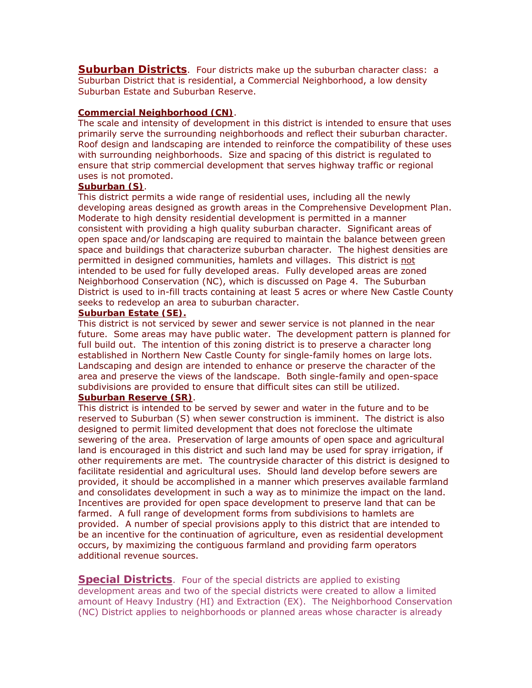**Suburban Districts**. Four districts make up the suburban character class: a Suburban District that is residential, a Commercial Neighborhood, a low density Suburban Estate and Suburban Reserve.

## **Commercial Neighborhood (CN)**.

The scale and intensity of development in this district is intended to ensure that uses primarily serve the surrounding neighborhoods and reflect their suburban character. Roof design and landscaping are intended to reinforce the compatibility of these uses with surrounding neighborhoods. Size and spacing of this district is regulated to ensure that strip commercial development that serves highway traffic or regional uses is not promoted.

#### **Suburban (S)**.

This district permits a wide range of residential uses, including all the newly developing areas designed as growth areas in the Comprehensive Development Plan. Moderate to high density residential development is permitted in a manner consistent with providing a high quality suburban character. Significant areas of open space and/or landscaping are required to maintain the balance between green space and buildings that characterize suburban character. The highest densities are permitted in designed communities, hamlets and villages. This district is not intended to be used for fully developed areas. Fully developed areas are zoned Neighborhood Conservation (NC), which is discussed on Page 4. The Suburban District is used to in-fill tracts containing at least 5 acres or where New Castle County seeks to redevelop an area to suburban character.

## **Suburban Estate (SE).**

This district is not serviced by sewer and sewer service is not planned in the near future. Some areas may have public water. The development pattern is planned for full build out. The intention of this zoning district is to preserve a character long established in Northern New Castle County for single-family homes on large lots. Landscaping and design are intended to enhance or preserve the character of the area and preserve the views of the landscape. Both single-family and open-space subdivisions are provided to ensure that difficult sites can still be utilized. **Suburban Reserve (SR)**.

This district is intended to be served by sewer and water in the future and to be reserved to Suburban (S) when sewer construction is imminent. The district is also designed to permit limited development that does not foreclose the ultimate sewering of the area. Preservation of large amounts of open space and agricultural land is encouraged in this district and such land may be used for spray irrigation, if other requirements are met. The countryside character of this district is designed to facilitate residential and agricultural uses. Should land develop before sewers are provided, it should be accomplished in a manner which preserves available farmland and consolidates development in such a way as to minimize the impact on the land. Incentives are provided for open space development to preserve land that can be farmed. A full range of development forms from subdivisions to hamlets are provided. A number of special provisions apply to this district that are intended to be an incentive for the continuation of agriculture, even as residential development occurs, by maximizing the contiguous farmland and providing farm operators additional revenue sources.

**Special Districts**. Four of the special districts are applied to existing development areas and two of the special districts were created to allow a limited amount of Heavy Industry (HI) and Extraction (EX). The Neighborhood Conservation (NC) District applies to neighborhoods or planned areas whose character is already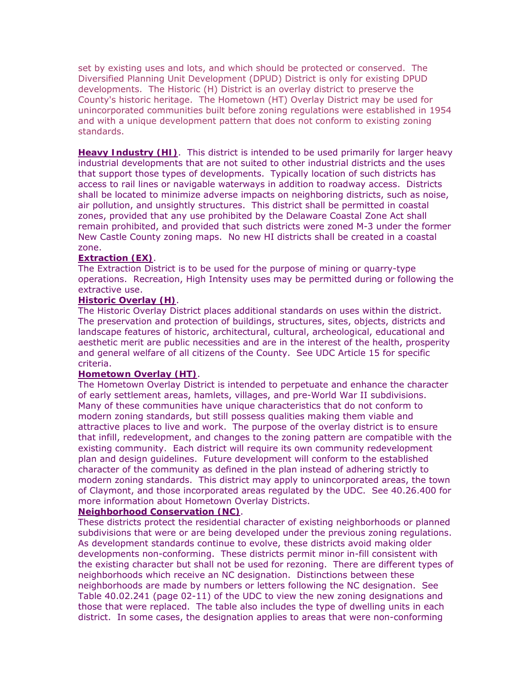set by existing uses and lots, and which should be protected or conserved. The Diversified Planning Unit Development (DPUD) District is only for existing DPUD developments. The Historic (H) District is an overlay district to preserve the County's historic heritage. The Hometown (HT) Overlay District may be used for unincorporated communities built before zoning regulations were established in 1954 and with a unique development pattern that does not conform to existing zoning standards.

**Heavy Industry (HI)**. This district is intended to be used primarily for larger heavy industrial developments that are not suited to other industrial districts and the uses that support those types of developments. Typically location of such districts has access to rail lines or navigable waterways in addition to roadway access. Districts shall be located to minimize adverse impacts on neighboring districts, such as noise, air pollution, and unsightly structures. This district shall be permitted in coastal zones, provided that any use prohibited by the Delaware Coastal Zone Act shall remain prohibited, and provided that such districts were zoned M-3 under the former New Castle County zoning maps. No new HI districts shall be created in a coastal zone.

## **Extraction (EX)**.

The Extraction District is to be used for the purpose of mining or quarry-type operations. Recreation, High Intensity uses may be permitted during or following the extractive use.

#### **Historic Overlay (H)**.

The Historic Overlay District places additional standards on uses within the district. The preservation and protection of buildings, structures, sites, objects, districts and landscape features of historic, architectural, cultural, archeological, educational and aesthetic merit are public necessities and are in the interest of the health, prosperity and general welfare of all citizens of the County. See UDC Article 15 for specific criteria.

#### **Hometown Overlay (HT)**.

The Hometown Overlay District is intended to perpetuate and enhance the character of early settlement areas, hamlets, villages, and pre-World War II subdivisions. Many of these communities have unique characteristics that do not conform to modern zoning standards, but still possess qualities making them viable and attractive places to live and work. The purpose of the overlay district is to ensure that infill, redevelopment, and changes to the zoning pattern are compatible with the existing community. Each district will require its own community redevelopment plan and design guidelines. Future development will conform to the established character of the community as defined in the plan instead of adhering strictly to modern zoning standards. This district may apply to unincorporated areas, the town of Claymont, and those incorporated areas regulated by the UDC. See 40.26.400 for more information about Hometown Overlay Districts.

#### **Neighborhood Conservation (NC)**.

These districts protect the residential character of existing neighborhoods or planned subdivisions that were or are being developed under the previous zoning regulations. As development standards continue to evolve, these districts avoid making older developments non-conforming. These districts permit minor in-fill consistent with the existing character but shall not be used for rezoning. There are different types of neighborhoods which receive an NC designation. Distinctions between these neighborhoods are made by numbers or letters following the NC designation. See Table 40.02.241 (page 02-11) of the UDC to view the new zoning designations and those that were replaced. The table also includes the type of dwelling units in each district. In some cases, the designation applies to areas that were non-conforming